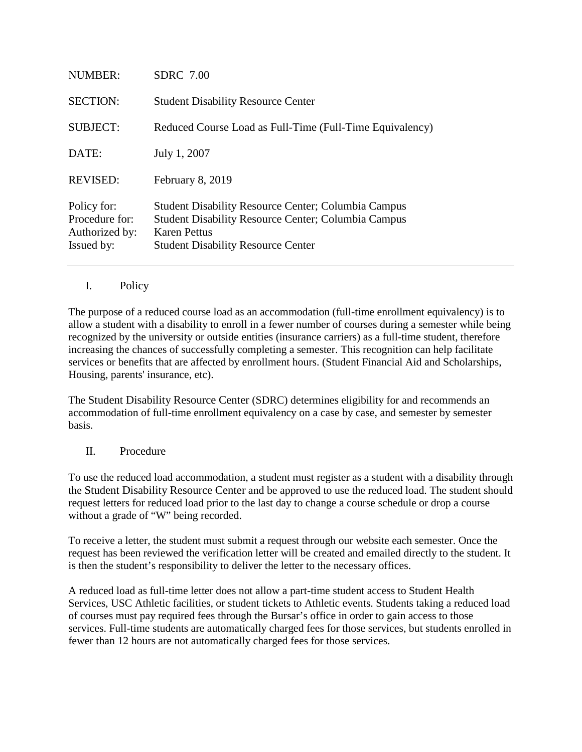| <b>NUMBER:</b>                                                | <b>SDRC</b> 7.00                                                                                                                                                                             |
|---------------------------------------------------------------|----------------------------------------------------------------------------------------------------------------------------------------------------------------------------------------------|
| <b>SECTION:</b>                                               | <b>Student Disability Resource Center</b>                                                                                                                                                    |
| <b>SUBJECT:</b>                                               | Reduced Course Load as Full-Time (Full-Time Equivalency)                                                                                                                                     |
| DATE:                                                         | July 1, 2007                                                                                                                                                                                 |
| <b>REVISED:</b>                                               | February 8, 2019                                                                                                                                                                             |
| Policy for:<br>Procedure for:<br>Authorized by:<br>Issued by: | <b>Student Disability Resource Center; Columbia Campus</b><br><b>Student Disability Resource Center; Columbia Campus</b><br><b>Karen Pettus</b><br><b>Student Disability Resource Center</b> |

## I. Policy

The purpose of a reduced course load as an accommodation (full-time enrollment equivalency) is to allow a student with a disability to enroll in a fewer number of courses during a semester while being recognized by the university or outside entities (insurance carriers) as a full-time student, therefore increasing the chances of successfully completing a semester. This recognition can help facilitate services or benefits that are affected by enrollment hours. (Student Financial Aid and Scholarships, Housing, parents' insurance, etc).

The Student Disability Resource Center (SDRC) determines eligibility for and recommends an accommodation of full-time enrollment equivalency on a case by case, and semester by semester basis.

## II. Procedure

To use the reduced load accommodation, a student must register as a student with a disability through the Student Disability Resource Center and be approved to use the reduced load. The student should request letters for reduced load prior to the last day to change a course schedule or drop a course without a grade of "W" being recorded.

To receive a letter, the student must submit a request through our website each semester. Once the request has been reviewed the verification letter will be created and emailed directly to the student. It is then the student's responsibility to deliver the letter to the necessary offices.

A reduced load as full-time letter does not allow a part-time student access to Student Health Services, USC Athletic facilities, or student tickets to Athletic events. Students taking a reduced load of courses must pay required fees through the Bursar's office in order to gain access to those services. Full-time students are automatically charged fees for those services, but students enrolled in fewer than 12 hours are not automatically charged fees for those services.